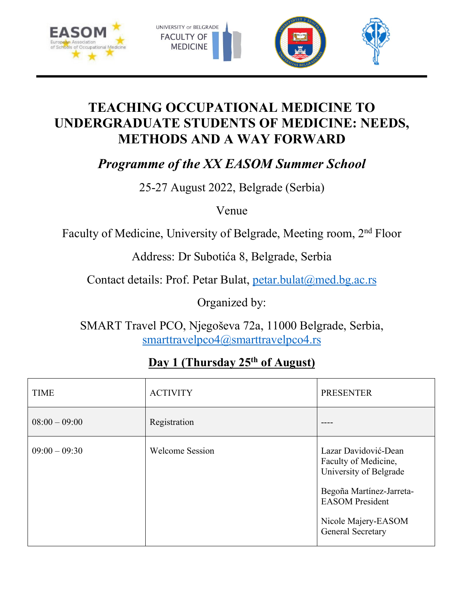



## **TEACHING OCCUPATIONAL MEDICINE TO UNDERGRADUATE STUDENTS OF MEDICINE: NEEDS, METHODS AND A WAY FORWARD**

*Programme of the XX EASOM Summer School*

25-27 August 2022, Belgrade (Serbia)

Venue

Faculty of Medicine, University of Belgrade, Meeting room, 2nd Floor

Address: Dr Subotića 8, Belgrade, Serbia

Contact details: Prof. Petar Bulat, petar.bulat@med.bg.ac.rs

Organized by:

SMART Travel PCO, Njegoševa 72a, 11000 Belgrade, Serbia, smarttravelpco4@smarttravelpco4.rs

## **Day 1 (Thursday 25th of August)**

| <b>TIME</b>     | <b>ACTIVITY</b>        | <b>PRESENTER</b>                                                                                                                                                         |
|-----------------|------------------------|--------------------------------------------------------------------------------------------------------------------------------------------------------------------------|
| $08:00 - 09:00$ | Registration           |                                                                                                                                                                          |
| $09:00 - 09:30$ | <b>Welcome Session</b> | Lazar Davidović-Dean<br>Faculty of Medicine,<br>University of Belgrade<br>Begoña Martínez-Jarreta-<br><b>EASOM</b> President<br>Nicole Majery-EASOM<br>General Secretary |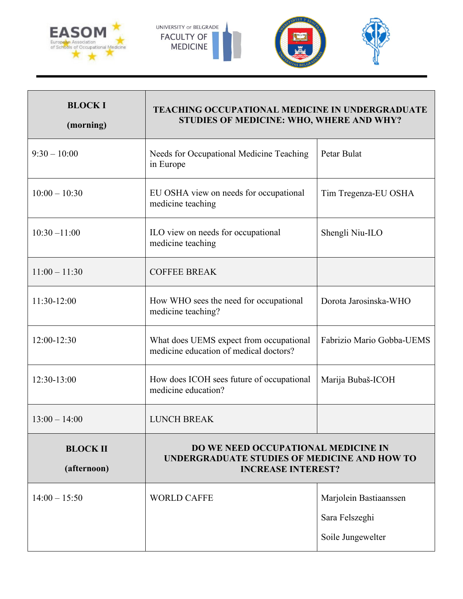



| <b>BLOCKI</b><br>(morning)     | <b>TEACHING OCCUPATIONAL MEDICINE IN UNDERGRADUATE</b><br>STUDIES OF MEDICINE: WHO, WHERE AND WHY?               |                           |
|--------------------------------|------------------------------------------------------------------------------------------------------------------|---------------------------|
| $9:30 - 10:00$                 | Needs for Occupational Medicine Teaching<br>in Europe                                                            | Petar Bulat               |
| $10:00 - 10:30$                | EU OSHA view on needs for occupational<br>medicine teaching                                                      | Tim Tregenza-EU OSHA      |
| $10:30 - 11:00$                | ILO view on needs for occupational<br>medicine teaching                                                          | Shengli Niu-ILO           |
| $11:00 - 11:30$                | <b>COFFEE BREAK</b>                                                                                              |                           |
| 11:30-12:00                    | How WHO sees the need for occupational<br>medicine teaching?                                                     | Dorota Jarosinska-WHO     |
| 12:00-12:30                    | What does UEMS expect from occupational<br>medicine education of medical doctors?                                | Fabrizio Mario Gobba-UEMS |
| 12:30-13:00                    | How does ICOH sees future of occupational<br>medicine education?                                                 | Marija Bubaš-ICOH         |
| $13:00 - 14:00$                | <b>LUNCH BREAK</b>                                                                                               |                           |
| <b>BLOCK II</b><br>(afternoon) | DO WE NEED OCCUPATIONAL MEDICINE IN<br>UNDERGRADUATE STUDIES OF MEDICINE AND HOW TO<br><b>INCREASE INTEREST?</b> |                           |
| $14:00 - 15:50$                | <b>WORLD CAFFE</b>                                                                                               | Marjolein Bastiaanssen    |
|                                |                                                                                                                  | Sara Felszeghi            |
|                                |                                                                                                                  | Soile Jungewelter         |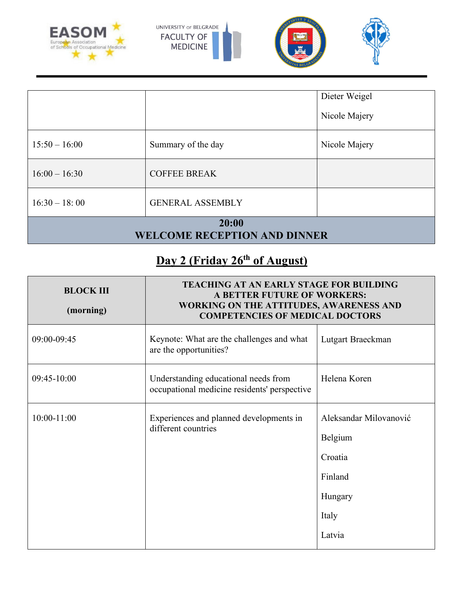



| 20:00<br><b>WELCOME RECEPTION AND DINNER</b> |                         |                                |
|----------------------------------------------|-------------------------|--------------------------------|
| $16:30 - 18:00$                              | <b>GENERAL ASSEMBLY</b> |                                |
| $16:00 - 16:30$                              | <b>COFFEE BREAK</b>     |                                |
| $15:50 - 16:00$                              | Summary of the day      | Nicole Majery                  |
|                                              |                         | Dieter Weigel<br>Nicole Majery |

## **Day 2 (Friday 26th of August)**

| <b>BLOCK III</b><br>(morning) | <b>TEACHING AT AN EARLY STAGE FOR BUILDING</b><br>A BETTER FUTURE OF WORKERS:<br>WORKING ON THE ATTITUDES, AWARENESS AND<br><b>COMPETENCIES OF MEDICAL DOCTORS</b> |                                                                                       |
|-------------------------------|--------------------------------------------------------------------------------------------------------------------------------------------------------------------|---------------------------------------------------------------------------------------|
| 09:00-09:45                   | Keynote: What are the challenges and what<br>are the opportunities?                                                                                                | Lutgart Braeckman                                                                     |
| $09:45-10:00$                 | Understanding educational needs from<br>occupational medicine residents' perspective                                                                               | Helena Koren                                                                          |
| $10:00 - 11:00$               | Experiences and planned developments in<br>different countries                                                                                                     | Aleksandar Milovanović<br>Belgium<br>Croatia<br>Finland<br>Hungary<br>Italy<br>Latvia |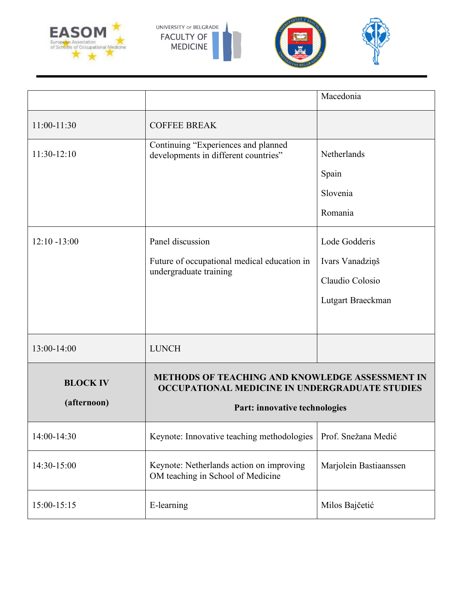



|                                |                                                                                                          | Macedonia              |
|--------------------------------|----------------------------------------------------------------------------------------------------------|------------------------|
| 11:00-11:30                    | <b>COFFEE BREAK</b>                                                                                      |                        |
| $11:30-12:10$                  | Continuing "Experiences and planned<br>developments in different countries"                              | Netherlands            |
|                                |                                                                                                          | Spain                  |
|                                |                                                                                                          | Slovenia               |
|                                |                                                                                                          | Romania                |
| $12:10 - 13:00$                | Panel discussion                                                                                         | Lode Godderis          |
|                                | Future of occupational medical education in<br>undergraduate training                                    | Ivars Vanadziņš        |
|                                |                                                                                                          | Claudio Colosio        |
|                                |                                                                                                          | Lutgart Braeckman      |
|                                |                                                                                                          |                        |
| 13:00-14:00                    | <b>LUNCH</b>                                                                                             |                        |
| <b>BLOCK IV</b><br>(afternoon) | <b>METHODS OF TEACHING AND KNOWLEDGE ASSESSMENT IN</b><br>OCCUPATIONAL MEDICINE IN UNDERGRADUATE STUDIES |                        |
|                                | Part: innovative technologies                                                                            |                        |
| 14:00-14:30                    | Keynote: Innovative teaching methodologies                                                               | Prof. Snežana Medić    |
| 14:30-15:00                    | Keynote: Netherlands action on improving<br>OM teaching in School of Medicine                            | Marjolein Bastiaanssen |
| 15:00-15:15                    | E-learning                                                                                               | Milos Bajčetić         |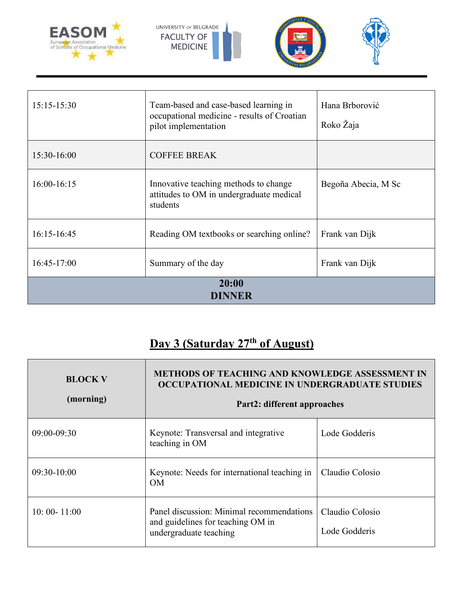



| 20:00<br><b>DINNER</b> |                                                                                                              |                             |
|------------------------|--------------------------------------------------------------------------------------------------------------|-----------------------------|
| $16:45-17:00$          | Summary of the day                                                                                           | Frank van Dijk              |
| $16:15-16:45$          | Reading OM textbooks or searching online?                                                                    | Frank van Dijk              |
| 16:00-16:15            | Innovative teaching methods to change<br>attitudes to OM in undergraduate medical<br>students                | Begoña Abecia, M Sc         |
| $15:30-16:00$          | <b>COFFEE BREAK</b>                                                                                          |                             |
| $15:15-15:30$          | Team-based and case-based learning in<br>occupational medicine - results of Croatian<br>pilot implementation | Hana Brborović<br>Roko Žaja |

## **Day 3 (Saturday 27th of August)**

| <b>BLOCK V</b><br>(morning) | <b>METHODS OF TEACHING AND KNOWLEDGE ASSESSMENT IN</b><br>OCCUPATIONAL MEDICINE IN UNDERGRADUATE STUDIES<br>Part2: different approaches |                                  |
|-----------------------------|-----------------------------------------------------------------------------------------------------------------------------------------|----------------------------------|
| $09:00 - 09:30$             | Keynote: Transversal and integrative<br>teaching in OM                                                                                  | Lode Godderis                    |
| $09:30-10:00$               | Keynote: Needs for international teaching in<br>OΜ                                                                                      | Claudio Colosio                  |
| $10:00 - 11:00$             | Panel discussion: Minimal recommendations<br>and guidelines for teaching OM in<br>undergraduate teaching                                | Claudio Colosio<br>Lode Godderis |